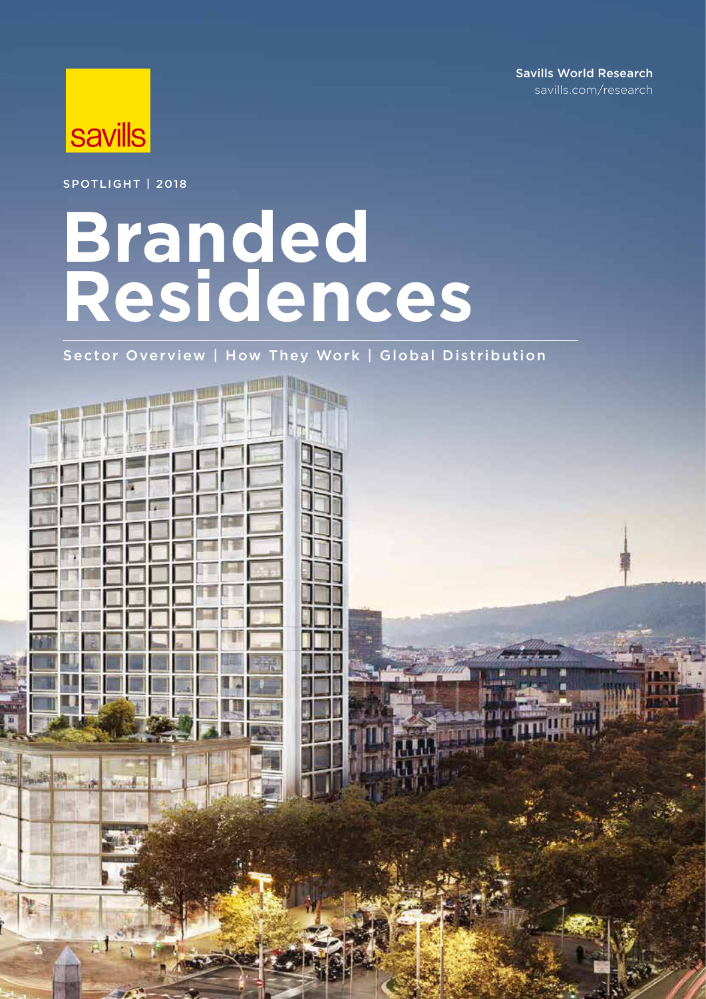Savills World Research savills.com/research



Spotlight | 2018

# **Branded residences**

Sector Overview | How They Work | Global Distribution

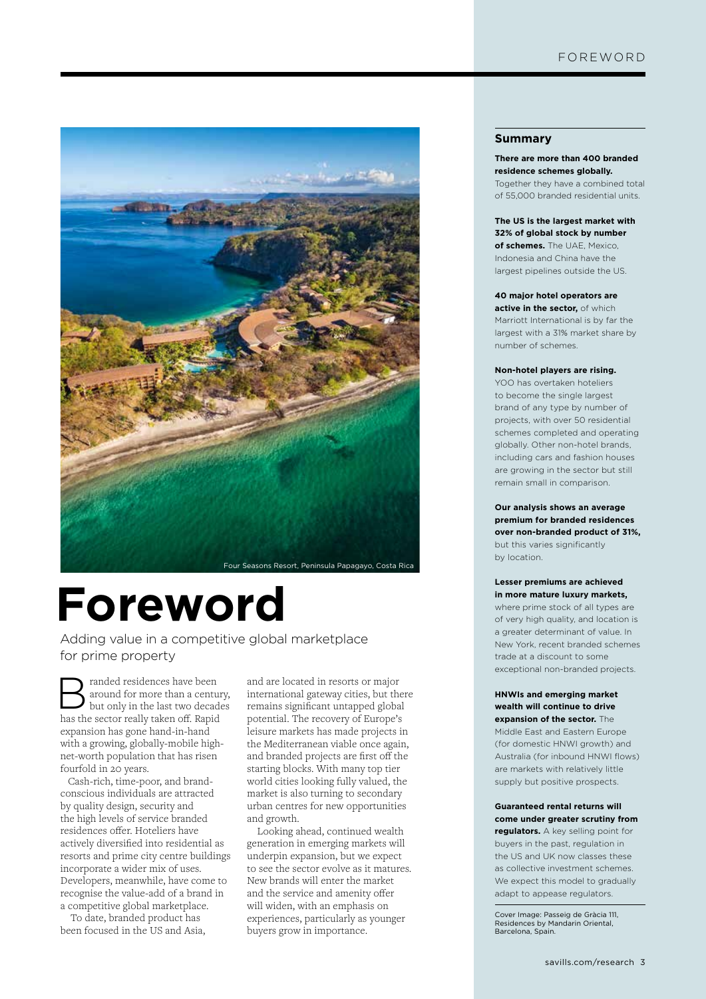

# **Foreword**

Adding value in a competitive global marketplace for prime property

 $\sum_{\text{in } n} \text{~random~of~} \text{~on} \text{~of~} \text{~and~} \text{~of~} \text{~on} \text{~and~} \text{~on} \text{~and~} \text{~on} \text{~and~} \text{~and~} \text{~and~} \text{~and~} \text{~and~} \text{~and~} \text{~and~} \text{~and~} \text{~and~} \text{~and~} \text{~and~} \text{~and~} \text{~and~} \text{~and~} \text{~and~} \text{~and~} \text{~and~} \text{~and~} \text{~and~} \text{~and~} \text{$ around for more than a century, but only in the last two decades has the sector really taken off. Rapid expansion has gone hand-in-hand with a growing, globally-mobile highnet-worth population that has risen fourfold in 20 years.

 Cash-rich, time-poor, and brandconscious individuals are attracted by quality design, security and the high levels of service branded residences offer. Hoteliers have actively diversified into residential as resorts and prime city centre buildings incorporate a wider mix of uses. Developers, meanwhile, have come to recognise the value-add of a brand in a competitive global marketplace.

To date, branded product has been focused in the US and Asia, and are located in resorts or major international gateway cities, but there remains significant untapped global potential. The recovery of Europe's leisure markets has made projects in the Mediterranean viable once again, and branded projects are first off the starting blocks. With many top tier world cities looking fully valued, the market is also turning to secondary urban centres for new opportunities and growth.

Looking ahead, continued wealth generation in emerging markets will underpin expansion, but we expect to see the sector evolve as it matures. New brands will enter the market and the service and amenity offer will widen, with an emphasis on experiences, particularly as younger buyers grow in importance.

#### **Summary**

**There are more than 400 branded residence schemes globally.**  Together they have a combined total of 55,000 branded residential units.

**The US is the largest market with 32% of global stock by number of schemes.** The UAE, Mexico, Indonesia and China have the largest pipelines outside the US.

#### **40 major hotel operators are**

**active in the sector,** of which Marriott International is by far the largest with a 31% market share by number of schemes.

#### **Non-hotel players are rising.**

YOO has overtaken hoteliers to become the single largest brand of any type by number of projects, with over 50 residential schemes completed and operating globally. Other non-hotel brands, including cars and fashion houses are growing in the sector but still remain small in comparison.

**Our analysis shows an average premium for branded residences over non-branded product of 31%,**  but this varies significantly by location.

#### **Lesser premiums are achieved in more mature luxury markets,**

where prime stock of all types are of very high quality, and location is a greater determinant of value. In New York, recent branded schemes trade at a discount to some exceptional non-branded projects.

#### **HNWIs and emerging market wealth will continue to drive expansion of the sector.** The

Middle East and Eastern Europe (for domestic HNWI growth) and Australia (for inbound HNWI flows) are markets with relatively little supply but positive prospects.

#### **Guaranteed rental returns will come under greater scrutiny from**

**regulators.** A key selling point for buyers in the past, regulation in the US and UK now classes these as collective investment schemes. We expect this model to gradually adapt to appease regulators.

Cover Image: Passeig de Gràcia 111, Residences by Mandarin Oriental, Barcelona, Spain.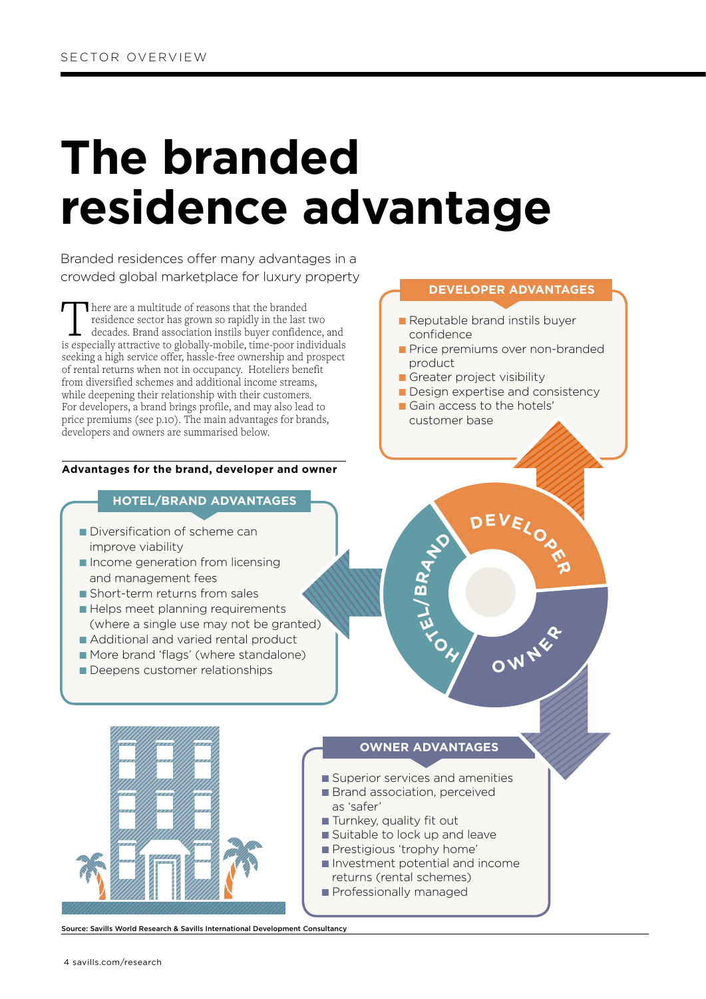# **The branded residence advantage**

Branded residences offer many advantages in a crowded global marketplace for luxury property

There are a multitude of reasons that the branded residence sector has grown so rapidly in the last two decades. Brand association instils buyer confidence, and is especially attractive to globally-mobile, time-poor individuals seeking a high service offer, hassle-free ownership and prospect of rental returns when not in occupancy. Hoteliers benefit from diversified schemes and additional income streams, while deepening their relationship with their customers. For developers, a brand brings profile, and may also lead to price premiums (see p.10). The main advantages for brands, developers and owners are summarised below.

#### **Advantages for the brand, developer and owner**

#### **HOTEL/BRAND ADVANTAGES**

- Diversification of scheme can improve viability
- Income generation from licensing and management fees
- Short-term returns from sales
- Helps meet planning requirements (where a single use may not be granted)
- Additional and varied rental product
- More brand 'flags' (where standalone)
- Deepens customer relationships

#### **DEVELOPER ADVANTAGES**

- Reputable brand instils buyer confidence
- Price premiums over non-branded product
- Greater project visibility
- Design expertise and consistency

**<sup>D</sup>EVELOPE<sup>R</sup>**

**<sup>O</sup> <sup>W</sup> <sup>N</sup> <sup>E</sup> <sup>R</sup>**

■ Gain access to the hotels' customer base

### **OWNER ADVANTAGES**

**H**<br>COLLECTER

**RA**<sup>VO</sup>

**B**

- Superior services and amenities
- Brand association, perceived as 'safer'
- Turnkey, quality fit out
- Suitable to lock up and leave
- Prestigious 'trophy home'
- Investment potential and income returns (rental schemes)
- Professionally managed

Source: Savills World Research & Savills International Development Consultancy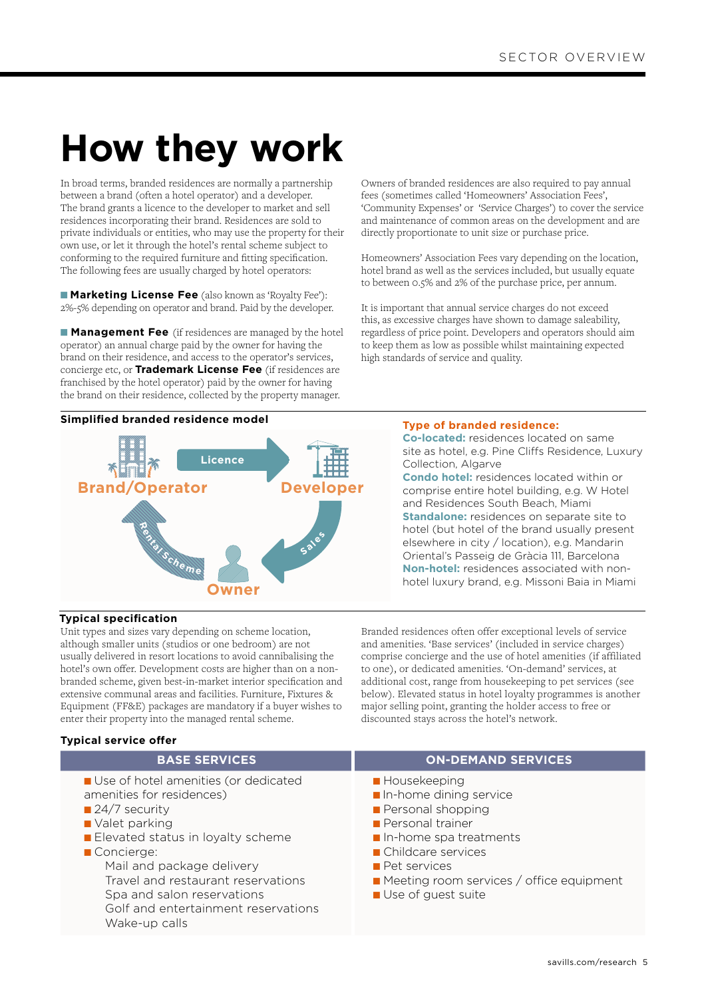## **How they work**

In broad terms, branded residences are normally a partnership between a brand (often a hotel operator) and a developer. The brand grants a licence to the developer to market and sell residences incorporating their brand. Residences are sold to private individuals or entities, who may use the property for their own use, or let it through the hotel's rental scheme subject to conforming to the required furniture and fitting specification. The following fees are usually charged by hotel operators:

■ **Marketing License Fee** (also known as 'Royalty Fee'): 2%-5% depending on operator and brand. Paid by the developer.

■ **Management Fee** (if residences are managed by the hotel operator) an annual charge paid by the owner for having the brand on their residence, and access to the operator's services, concierge etc, or **Trademark License Fee** (if residences are franchised by the hotel operator) paid by the owner for having the brand on their residence, collected by the property manager.

#### **Simplified branded residence model Type of branded residence:**



Owners of branded residences are also required to pay annual fees (sometimes called 'Homeowners' Association Fees', 'Community Expenses' or 'Service Charges') to cover the service and maintenance of common areas on the development and are directly proportionate to unit size or purchase price.

Homeowners' Association Fees vary depending on the location, hotel brand as well as the services included, but usually equate to between 0.5% and 2% of the purchase price, per annum.

It is important that annual service charges do not exceed this, as excessive charges have shown to damage saleability, regardless of price point. Developers and operators should aim to keep them as low as possible whilst maintaining expected high standards of service and quality.

**Co-located:** residences located on same site as hotel, e.g. Pine Cliffs Residence, Luxury Collection, Algarve **Condo hotel:** residences located within or comprise entire hotel building, e.g. W Hotel and Residences South Beach, Miami **Standalone:** residences on separate site to hotel (but hotel of the brand usually present elsewhere in city / location), e.g. Mandarin Oriental's Passeig de Gràcia 111, Barcelona **Non-hotel:** residences associated with nonhotel luxury brand, e.g. Missoni Baia in Miami

#### **Typical specification**

Unit types and sizes vary depending on scheme location, although smaller units (studios or one bedroom) are not usually delivered in resort locations to avoid cannibalising the hotel's own offer. Development costs are higher than on a nonbranded scheme, given best-in-market interior specification and extensive communal areas and facilities. Furniture, Fixtures & Equipment (FF&E) packages are mandatory if a buyer wishes to enter their property into the managed rental scheme.

Branded residences often offer exceptional levels of service and amenities. 'Base services' (included in service charges) comprise concierge and the use of hotel amenities (if affiliated to one), or dedicated amenities. 'On-demand' services, at additional cost, range from housekeeping to pet services (see below). Elevated status in hotel loyalty programmes is another major selling point, granting the holder access to free or discounted stays across the hotel's network.

#### **Typical service offer BASE SERVICES ON-DEMAND SERVICES** ■ Use of hotel amenities (or dedicated amenities for residences) ■ 24/7 security ■ Valet parking ■ Elevated status in loyalty scheme ■ Concierge: Mail and package delivery Travel and restaurant reservations Spa and salon reservations Golf and entertainment reservations Wake-up calls ■ Housekeeping ■ In-home dining service ■ Personal shopping ■ Personal trainer ■ In-home spa treatments ■ Childcare services ■ Pet services ■ Meeting room services / office equipment ■ Use of quest suite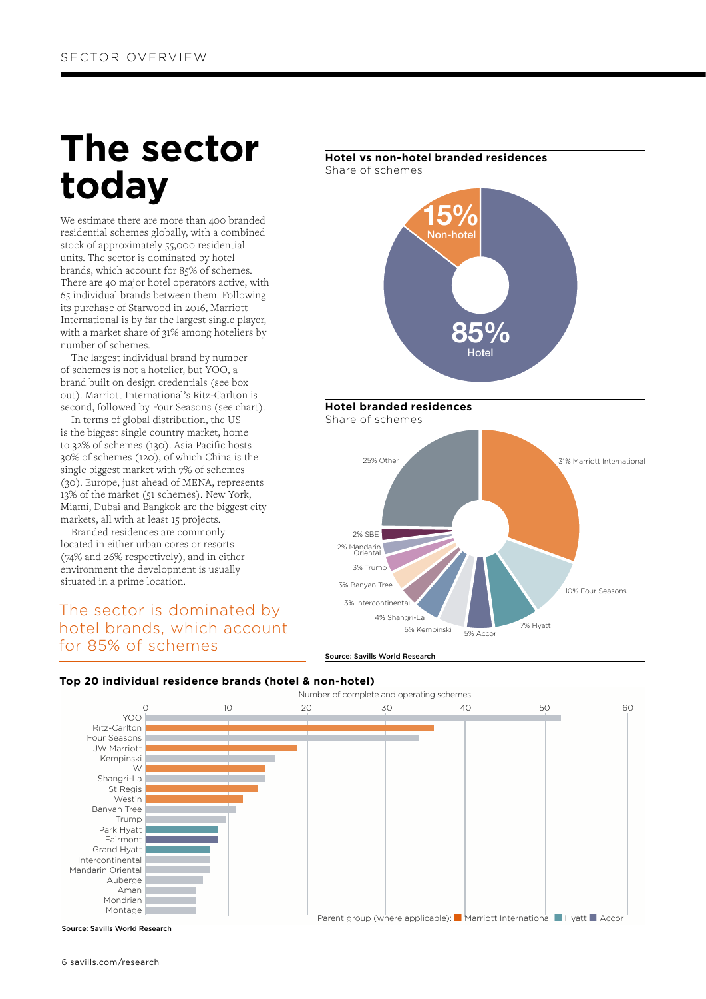## **The sector today**

We estimate there are more than 400 branded residential schemes globally, with a combined stock of approximately 55,000 residential units. The sector is dominated by hotel brands, which account for 85% of schemes. There are 40 major hotel operators active, with 65 individual brands between them. Following its purchase of Starwood in 2016, Marriott International is by far the largest single player, with a market share of 31% among hoteliers by number of schemes.

 The largest individual brand by number of schemes is not a hotelier, but YOO, a brand built on design credentials (see box out). Marriott International's Ritz-Carlton is second, followed by Four Seasons (see chart).

 In terms of global distribution, the US is the biggest single country market, home to 32% of schemes (130). Asia Pacific hosts 30% of schemes (120), of which China is the single biggest market with 7% of schemes (30). Europe, just ahead of MENA, represents 13% of the market (51 schemes). New York, Miami, Dubai and Bangkok are the biggest city markets, all with at least 15 projects.

 Branded residences are commonly located in either urban cores or resorts (74% and 26% respectively), and in either environment the development is usually situated in a prime location.

The sector is dominated by hotel brands, which account for 85% of schemes

### **Hotel vs non-hotel branded residences** Share of schemes **Hotel branded residences** Share of schemes **Jon-hote** 15% Hotel 85% 2% SBE 3% Trump 3% Banyan Tre 3% Intercontinental 4% Shangri-La 5% Kempinski 5% Accor 7% Hyatt 10% Four Seasons 2% Mandarin Oriental 25% Other 31% Marriott International



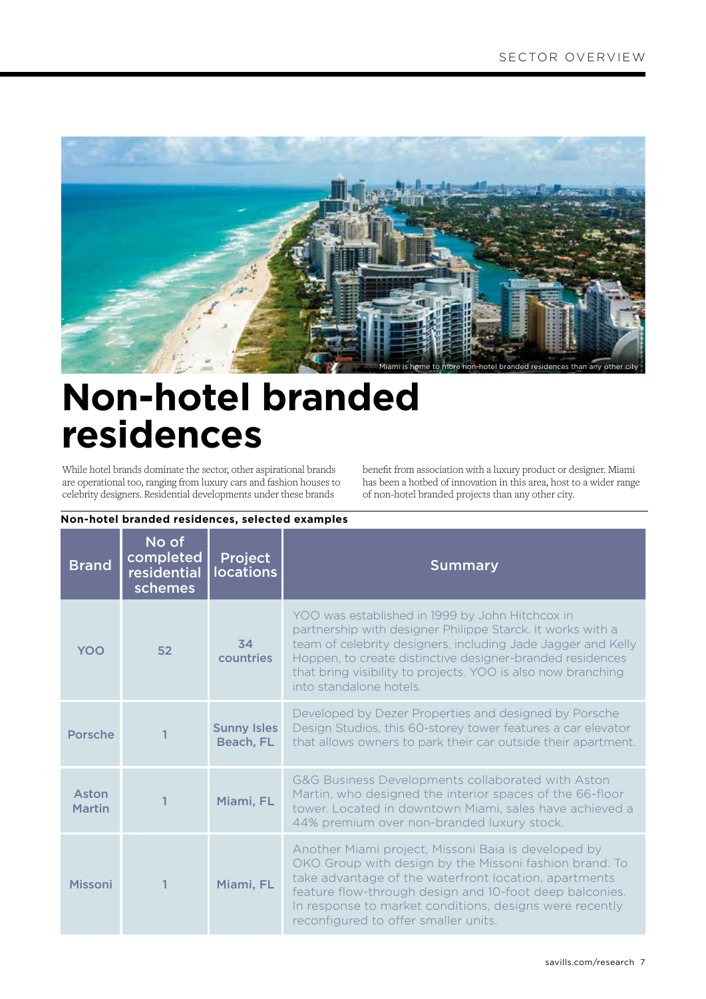

### **Non-hotel branded residences**

While hotel brands dominate the sector, other aspirational brands are operational too, ranging from luxury cars and fashion houses to celebrity designers. Residential developments under these brands

benefit from association with a luxury product or designer. Miami has been a hotbed of innovation in this area, host to a wider range of non-hotel branded projects than any other city.

| <b>Brand</b>           | No of<br>completed<br>residential<br>schemes | Project<br><b>locations</b>     | <b>Summary</b>                                                                                                                                                                                                                                                                                                                        |  |
|------------------------|----------------------------------------------|---------------------------------|---------------------------------------------------------------------------------------------------------------------------------------------------------------------------------------------------------------------------------------------------------------------------------------------------------------------------------------|--|
| YOO                    | 52                                           | 34<br>countries                 | YOO was established in 1999 by John Hitchcox in<br>partnership with designer Philippe Starck. It works with a<br>team of celebrity designers, including Jade Jagger and Kelly<br>Hoppen, to create distinctive designer-branded residences<br>that bring visibility to projects. YOO is also now branching<br>into standalone hotels. |  |
| Porsche                |                                              | <b>Sunny Isles</b><br>Beach, FL | Developed by Dezer Properties and designed by Porsche<br>Design Studios, this 60-storey tower features a car elevator<br>that allows owners to park their car outside their apartment.                                                                                                                                                |  |
| Aston<br><b>Martin</b> |                                              | Miami, FL                       | G&G Business Developments collaborated with Aston<br>Martin, who designed the interior spaces of the 66-floor<br>tower. Located in downtown Miami, sales have achieved a<br>44% premium over non-branded luxury stock.                                                                                                                |  |
| <b>Missoni</b>         |                                              | Miami, FL                       | Another Miami project, Missoni Baia is developed by<br>OKO Group with design by the Missoni fashion brand. To<br>take advantage of the waterfront location, apartments<br>feature flow-through design and 10-foot deep balconies.<br>In response to market conditions, designs were recently<br>reconfigured to offer smaller units.  |  |

#### **Non-hotel branded residences, selected examples**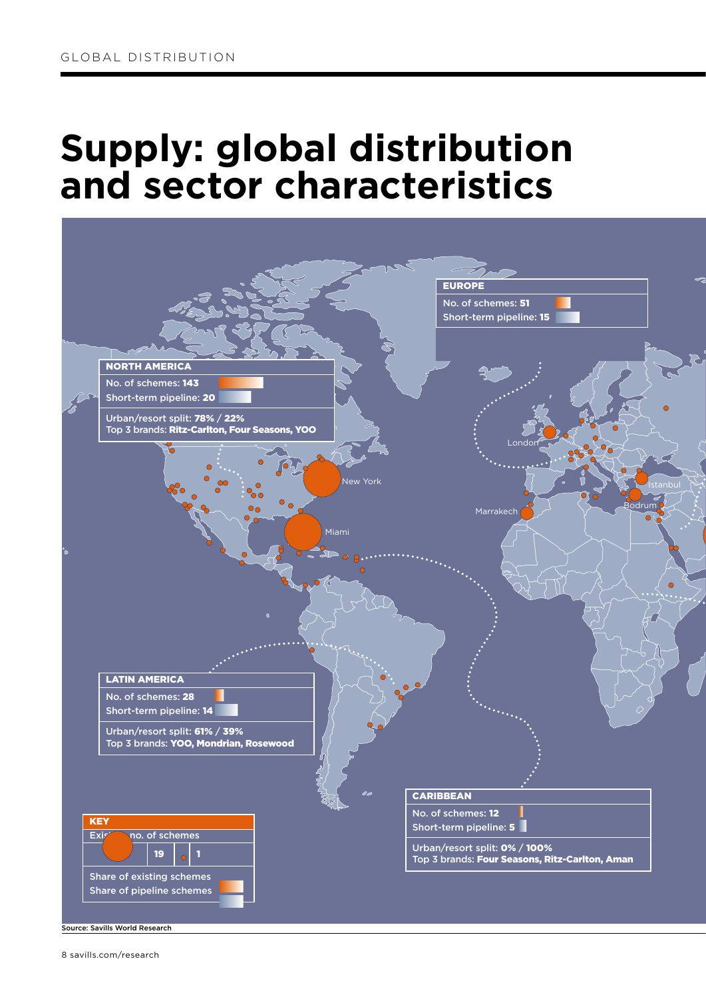### **Supply: global distribution and sector characteristics**



Source: Savills World Research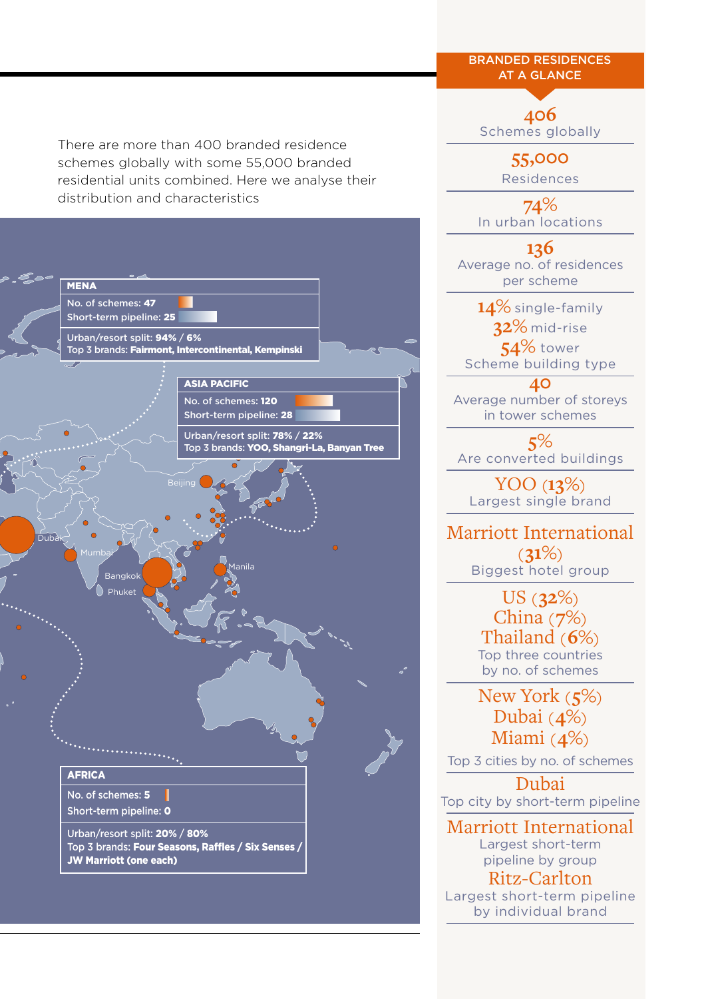There are more than 400 branded residence schemes globally with some 55,000 branded residential units combined. Here we analyse their distribution and characteristics





Branded residences **AT A GLANCE**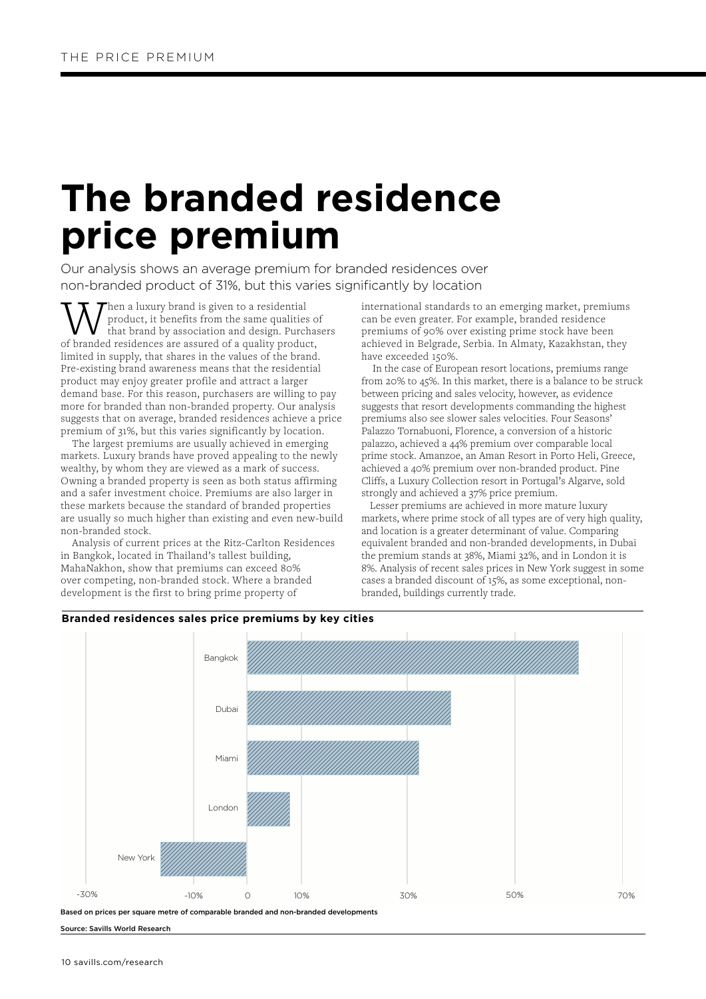### **The branded residence price premium**

Our analysis shows an average premium for branded residences over non-branded product of 31%, but this varies significantly by location

**W** hen a luxury brand is given to a residential product, it benefits from the same qualities of branded residences are assured of a quality product, product, it benefits from the same qualities of that brand by association and design. Purchasers limited in supply, that shares in the values of the brand. Pre-existing brand awareness means that the residential product may enjoy greater profile and attract a larger demand base. For this reason, purchasers are willing to pay more for branded than non-branded property. Our analysis suggests that on average, branded residences achieve a price premium of 31%, but this varies significantly by location.

 The largest premiums are usually achieved in emerging markets. Luxury brands have proved appealing to the newly wealthy, by whom they are viewed as a mark of success. Owning a branded property is seen as both status affirming and a safer investment choice. Premiums are also larger in these markets because the standard of branded properties are usually so much higher than existing and even new-build non-branded stock.

 Analysis of current prices at the Ritz-Carlton Residences in Bangkok, located in Thailand's tallest building, MahaNakhon, show that premiums can exceed 80% over competing, non-branded stock. Where a branded development is the first to bring prime property of

**Branded residences sales price premiums by key cities** 

international standards to an emerging market, premiums can be even greater. For example, branded residence premiums of 90% over existing prime stock have been achieved in Belgrade, Serbia. In Almaty, Kazakhstan, they have exceeded 150%.

 In the case of European resort locations, premiums range from 20% to 45%. In this market, there is a balance to be struck between pricing and sales velocity, however, as evidence suggests that resort developments commanding the highest premiums also see slower sales velocities. Four Seasons' Palazzo Tornabuoni, Florence, a conversion of a historic palazzo, achieved a 44% premium over comparable local prime stock. Amanzoe, an Aman Resort in Porto Heli, Greece, achieved a 40% premium over non-branded product. Pine Cliffs, a Luxury Collection resort in Portugal's Algarve, sold strongly and achieved a 37% price premium.

 Lesser premiums are achieved in more mature luxury markets, where prime stock of all types are of very high quality, and location is a greater determinant of value. Comparing equivalent branded and non-branded developments, in Dubai the premium stands at 38%, Miami 32%, and in London it is 8%. Analysis of recent sales prices in New York suggest in some cases a branded discount of 15%, as some exceptional, nonbranded, buildings currently trade.



Based on prices per square metre of comparable branded and non-branded developments

Source: Savills World Research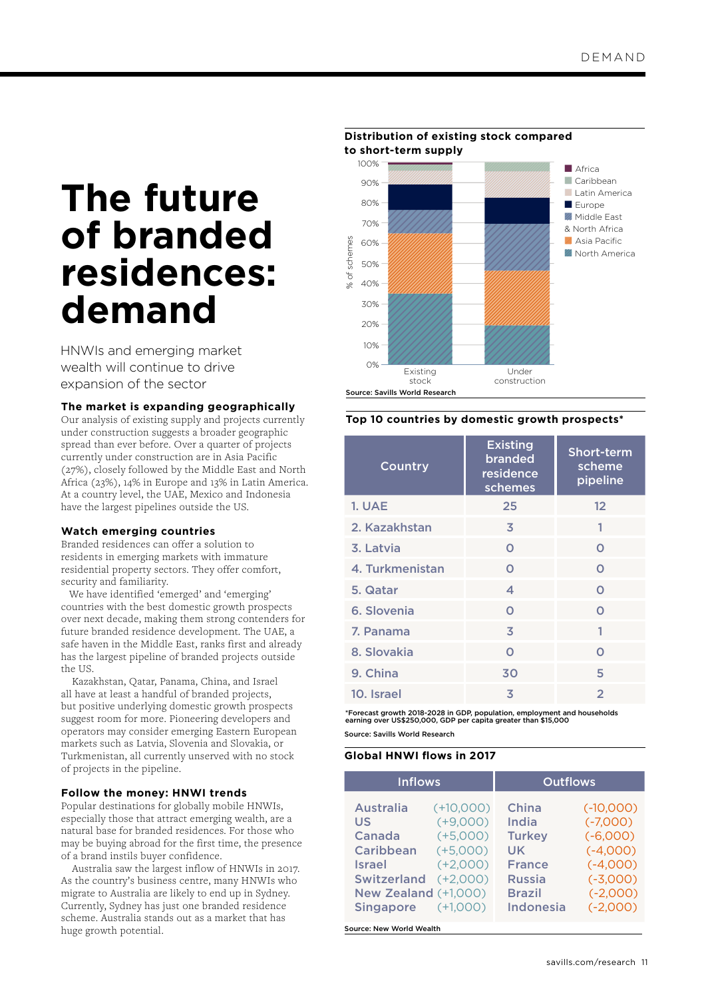### **The future of branded residences: demand**

HNWIs and emerging market wealth will continue to drive expansion of the sector

#### **The market is expanding geographically**

Our analysis of existing supply and projects currently under construction suggests a broader geographic spread than ever before. Over a quarter of projects currently under construction are in Asia Pacific (27%), closely followed by the Middle East and North Africa (23%), 14% in Europe and 13% in Latin America. At a country level, the UAE, Mexico and Indonesia have the largest pipelines outside the US.

#### **Watch emerging countries**

Branded residences can offer a solution to residents in emerging markets with immature residential property sectors. They offer comfort, security and familiarity.

 We have identified 'emerged' and 'emerging' countries with the best domestic growth prospects over next decade, making them strong contenders for future branded residence development. The UAE, a safe haven in the Middle East, ranks first and already has the largest pipeline of branded projects outside the US.

 Kazakhstan, Qatar, Panama, China, and Israel all have at least a handful of branded projects, but positive underlying domestic growth prospects suggest room for more. Pioneering developers and operators may consider emerging Eastern European markets such as Latvia, Slovenia and Slovakia, or Turkmenistan, all currently unserved with no stock of projects in the pipeline.

#### **Follow the money: HNWI trends**

Popular destinations for globally mobile HNWIs, especially those that attract emerging wealth, are a natural base for branded residences. For those who may be buying abroad for the first time, the presence of a brand instils buyer confidence.

 Australia saw the largest inflow of HNWIs in 2017. As the country's business centre, many HNWIs who migrate to Australia are likely to end up in Sydney. Currently, Sydney has just one branded residence scheme. Australia stands out as a market that has huge growth potential.



#### **Top 10 countries by domestic growth prospects\***

| Country         | <b>Existing</b><br>branded<br>residence<br>schemes | Short-term<br>scheme<br>pipeline |
|-----------------|----------------------------------------------------|----------------------------------|
| <b>1. UAE</b>   | 25                                                 | $12 \overline{ }$                |
| 2. Kazakhstan   | 3                                                  | 1                                |
| 3. Latvia       | $\Omega$                                           | $\Omega$                         |
| 4. Turkmenistan | $\Omega$                                           | $\Omega$                         |
| 5. Qatar        | 4                                                  | $\Omega$                         |
| 6. Slovenia     | $\Omega$                                           | $\Omega$                         |
| 7. Panama       | 3                                                  | 1                                |
| 8. Slovakia     | $\Omega$                                           | $\Omega$                         |
| 9. China        | 30                                                 | 5                                |
| 10. Israel      | 3                                                  | $\overline{2}$                   |

Source: Savills World Research \*Forecast growth 2018-2028 in GDP, population, employment and households earning over US\$250,000, GDP per capita greater than \$15,000

#### **Global HNWI flows in 2017**

| <b>Inflows</b>                                                                                                                          |                                                                                                 | <b>Outflows</b>                                                                                              |                                                                                                               |  |
|-----------------------------------------------------------------------------------------------------------------------------------------|-------------------------------------------------------------------------------------------------|--------------------------------------------------------------------------------------------------------------|---------------------------------------------------------------------------------------------------------------|--|
| <b>Australia</b><br>US<br>Canada<br><b>Caribbean</b><br><b>Israel</b><br><b>Switzerland</b><br>New Zealand (+1,000)<br><b>Singapore</b> | $(+10,000)$<br>$(+9,000)$<br>$(+5,000)$<br>$(+5,000)$<br>$(+2,000)$<br>$(+2,000)$<br>$(+1,000)$ | China<br>India<br><b>Turkey</b><br>UK<br><b>France</b><br><b>Russia</b><br><b>Brazil</b><br><b>Indonesia</b> | $(-10,000)$<br>$(-7,000)$<br>$(-6,000)$<br>$(-4,000)$<br>$(-4,000)$<br>$(-3,000)$<br>$(-2,000)$<br>$(-2,000)$ |  |

Source: New World Wealth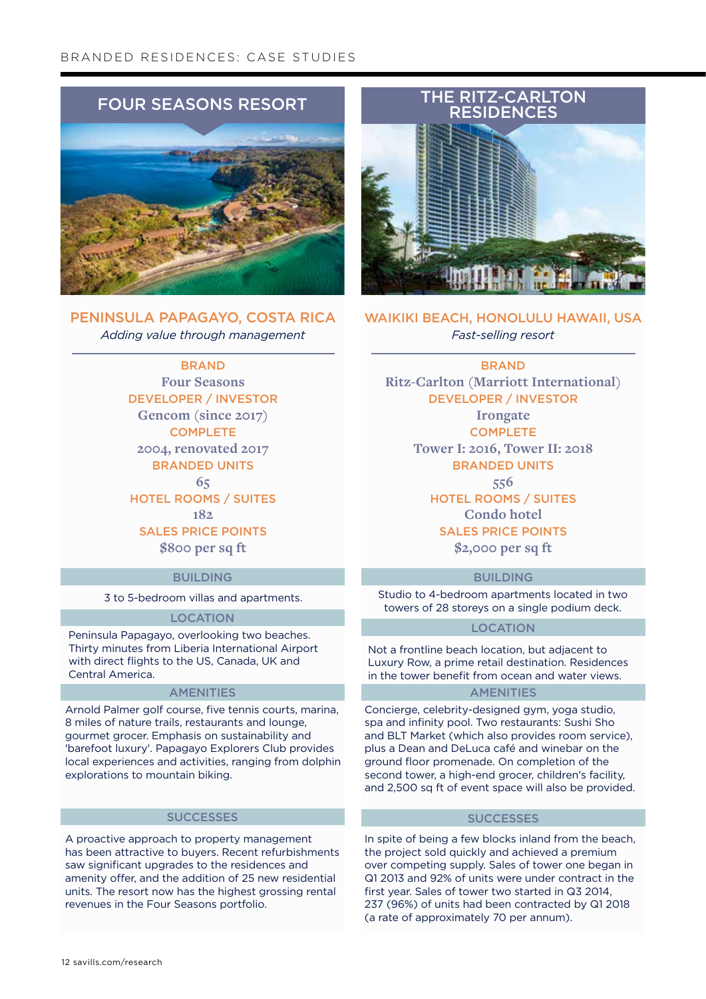#### B RA NDED R ESIDENCES: case studies



Peninsula Papagayo, Costa Rica *Adding value through management*

> **BRAND Four Seasons** Developer / investor **Gencom (since 2017) COMPLETE 2004, renovated 2017 BRANDED UNITS 65** Hotel Rooms / suites **182** Sales price points **\$800 per sq ft**

#### **BUILDING**

3 to 5-bedroom villas and apartments.

#### **LOCATION**

Peninsula Papagayo, overlooking two beaches. Thirty minutes from Liberia International Airport with direct flights to the US, Canada, UK and Central America.

#### **AMENITIES**

Arnold Palmer golf course, five tennis courts, marina, 8 miles of nature trails, restaurants and lounge, gourmet grocer. Emphasis on sustainability and 'barefoot luxury'. Papagayo Explorers Club provides local experiences and activities, ranging from dolphin explorations to mountain biking.

#### **SUCCESSES**

A proactive approach to property management has been attractive to buyers. Recent refurbishments saw significant upgrades to the residences and amenity offer, and the addition of 25 new residential units. The resort now has the highest grossing rental revenues in the Four Seasons portfolio.



WAIKIKI BEACH, HONOLULU HAWAII, USA *Fast-selling resort*

**BRAND Ritz-Carlton (Marriott International)** Developer / investor

**Irongate COMPLETE Tower I: 2016, Tower II: 2018 BRANDED UNITS 556** Hotel Rooms / suites **Condo hotel** Sales price points **\$2,000 per sq ft**

#### **BUILDING**

Studio to 4-bedroom apartments located in two towers of 28 storeys on a single podium deck.

#### **LOCATION**

Not a frontline beach location, but adjacent to Luxury Row, a prime retail destination. Residences in the tower benefit from ocean and water views.

#### **AMENITIES**

Concierge, celebrity-designed gym, yoga studio, spa and infinity pool. Two restaurants: Sushi Sho and BLT Market (which also provides room service), plus a Dean and DeLuca café and winebar on the ground floor promenade. On completion of the second tower, a high-end grocer, children's facility, and 2,500 sq ft of event space will also be provided.

#### **SUCCESSES**

In spite of being a few blocks inland from the beach, the project sold quickly and achieved a premium over competing supply. Sales of tower one began in Q1 2013 and 92% of units were under contract in the first year. Sales of tower two started in Q3 2014, 237 (96%) of units had been contracted by Q1 2018 (a rate of approximately 70 per annum).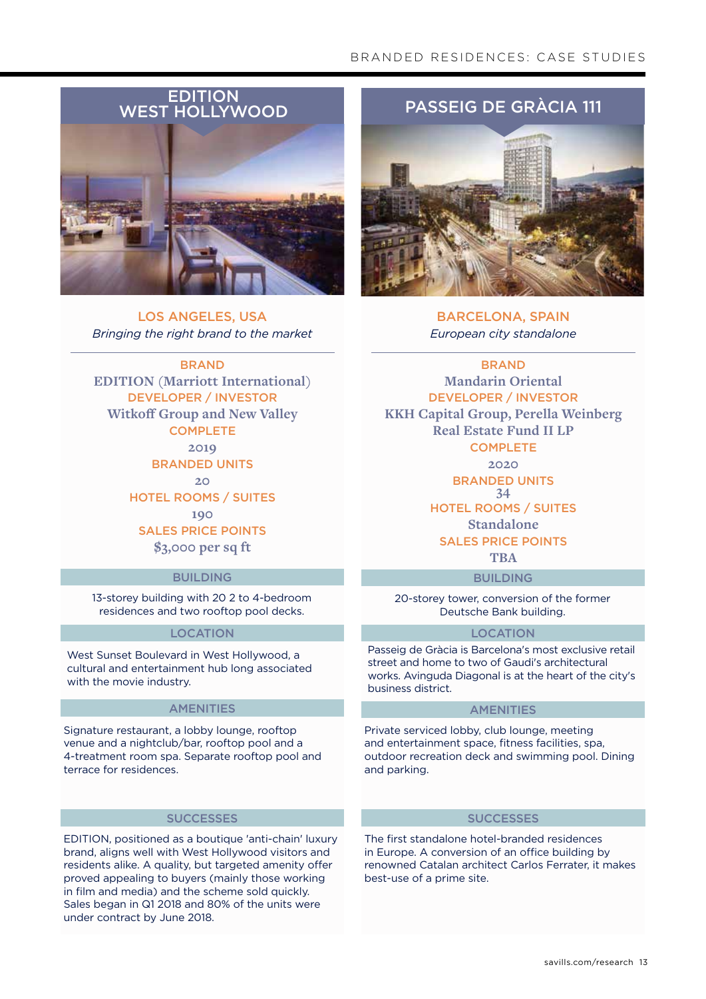#### BRANDED RESIDENCES: CASE STUDIES



Los Angeles, USA *Bringing the right brand to the market*



#### **BUILDING**

13-storey building with 20 2 to 4-bedroom residences and two rooftop pool decks.

#### **LOCATION**

West Sunset Boulevard in West Hollywood, a cultural and entertainment hub long associated with the movie industry.

#### **AMENITIES**

Signature restaurant, a lobby lounge, rooftop venue and a nightclub/bar, rooftop pool and a 4-treatment room spa. Separate rooftop pool and terrace for residences.

#### **SUCCESSES**

EDITION, positioned as a boutique 'anti-chain' luxury brand, aligns well with West Hollywood visitors and residents alike. A quality, but targeted amenity offer proved appealing to buyers (mainly those working in film and media) and the scheme sold quickly. Sales began in Q1 2018 and 80% of the units were under contract by June 2018.



Barcelona, Spain *European city standalone*

**BRAND Mandarin Oriental**

Developer / investor **KKH Capital Group, Perella Weinberg Real Estate Fund II LP COMPLETE** 

**2020**

**BRANDED UNITS 34**

Hotel Rooms / suites

**Standalone** Sales price points

**TBA**

#### **BUILDING**

20-storey tower, conversion of the former Deutsche Bank building.

#### Location

Passeig de Gràcia is Barcelona's most exclusive retail street and home to two of Gaudi's architectural works. Avinguda Diagonal is at the heart of the city's business district.

#### **AMENITIES**

Private serviced lobby, club lounge, meeting and entertainment space, fitness facilities, spa, outdoor recreation deck and swimming pool. Dining and parking.

#### **SUCCESSES**

The first standalone hotel-branded residences in Europe. A conversion of an office building by renowned Catalan architect Carlos Ferrater, it makes best-use of a prime site.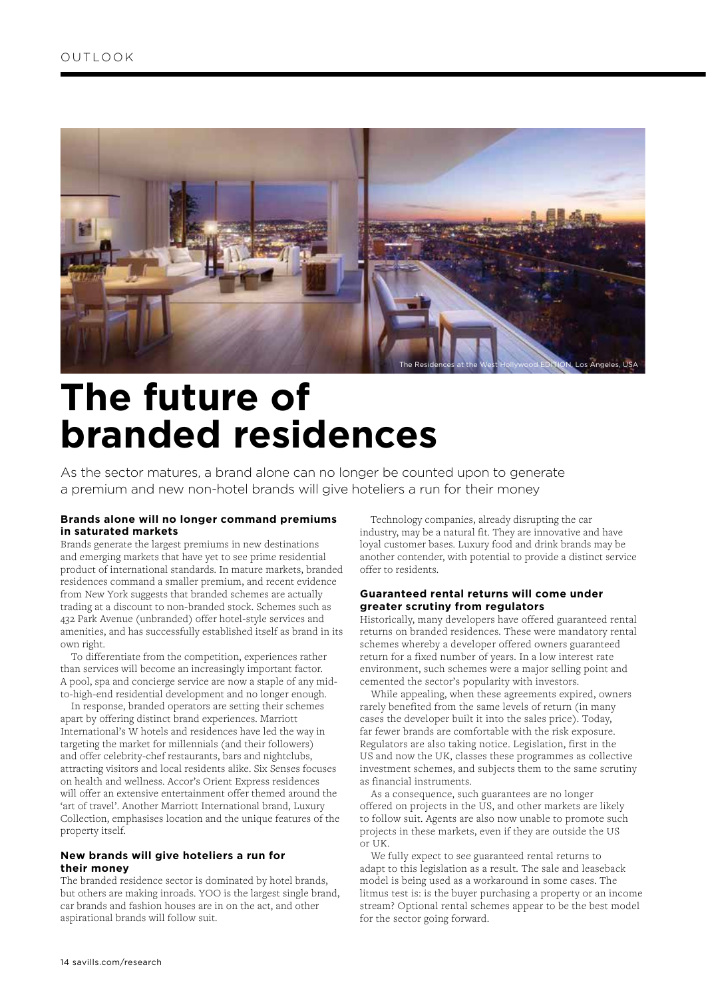

### **The future of branded residences**

As the sector matures, a brand alone can no longer be counted upon to generate a premium and new non-hotel brands will give hoteliers a run for their money

#### **Brands alone will no longer command premiums in saturated markets**

Brands generate the largest premiums in new destinations and emerging markets that have yet to see prime residential product of international standards. In mature markets, branded residences command a smaller premium, and recent evidence from New York suggests that branded schemes are actually trading at a discount to non-branded stock. Schemes such as 432 Park Avenue (unbranded) offer hotel-style services and amenities, and has successfully established itself as brand in its own right.

 To differentiate from the competition, experiences rather than services will become an increasingly important factor. A pool, spa and concierge service are now a staple of any midto-high-end residential development and no longer enough.

 In response, branded operators are setting their schemes apart by offering distinct brand experiences. Marriott International's W hotels and residences have led the way in targeting the market for millennials (and their followers) and offer celebrity-chef restaurants, bars and nightclubs, attracting visitors and local residents alike. Six Senses focuses on health and wellness. Accor's Orient Express residences will offer an extensive entertainment offer themed around the 'art of travel'. Another Marriott International brand, Luxury Collection, emphasises location and the unique features of the property itself.

#### **New brands will give hoteliers a run for their money**

The branded residence sector is dominated by hotel brands, but others are making inroads. YOO is the largest single brand, car brands and fashion houses are in on the act, and other aspirational brands will follow suit.

 Technology companies, already disrupting the car industry, may be a natural fit. They are innovative and have loyal customer bases. Luxury food and drink brands may be another contender, with potential to provide a distinct service offer to residents.

#### **Guaranteed rental returns will come under greater scrutiny from regulators**

Historically, many developers have offered guaranteed rental returns on branded residences. These were mandatory rental schemes whereby a developer offered owners guaranteed return for a fixed number of years. In a low interest rate environment, such schemes were a major selling point and cemented the sector's popularity with investors.

 While appealing, when these agreements expired, owners rarely benefited from the same levels of return (in many cases the developer built it into the sales price). Today, far fewer brands are comfortable with the risk exposure. Regulators are also taking notice. Legislation, first in the US and now the UK, classes these programmes as collective investment schemes, and subjects them to the same scrutiny as financial instruments.

 As a consequence, such guarantees are no longer offered on projects in the US, and other markets are likely to follow suit. Agents are also now unable to promote such projects in these markets, even if they are outside the US or UK.

 We fully expect to see guaranteed rental returns to adapt to this legislation as a result. The sale and leaseback model is being used as a workaround in some cases. The litmus test is: is the buyer purchasing a property or an income stream? Optional rental schemes appear to be the best model for the sector going forward.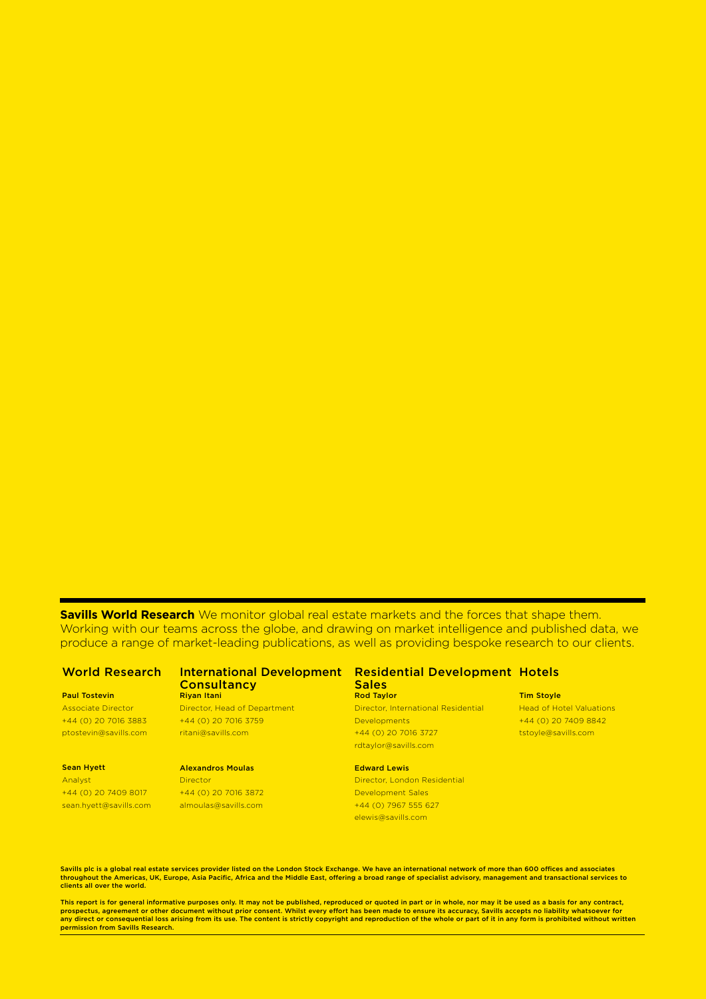**Savills World Research** We monitor global real estate markets and the forces that shape them. Working with our teams across the globe, and drawing on market intelligence and published data, we produce a range of market-leading publications, as well as providing bespoke research to our clients.

#### Paul Tostevin

Associate Director +44 (0) 20 7016 3883 ptostevin@savills.com

#### Sean Hyett Analyst

+44 (0) 20 7409 8017 sean.hyett@savills.com

### **Consultancy** Riyan Itani

Director, Head of Department +44 (0) 20 7016 3759 ritani@savills.com

#### Alexandros Moulas **Director**

+44 (0) 20 7016 3872 almoulas@savills.com

#### World Research International Development Residential Development Hotels **Sales** Rod Taylor

Director, International Residential **Developments** +44 (0) 20 7016 3727 rdtaylor@savills.com

#### Edward Lewis Director, London Residential Development Sales +44 (0) 7967 555 627 elewis@savills.com

#### Tim Stoyle

Head of Hotel Valuations +44 (0) 20 7409 8842 tstoyle@savills.com

Savills plc is a global real estate services provider listed on the London Stock Exchange. We have an international network of more than 600 offices and associates throughout the Americas, UK, Europe, Asia Pacific, Africa and the Middle East, offering a broad range of specialist advisory, management and transactional services to clients all over the world.

This report is for general informative purposes only. It may not be published, reproduced or quoted in part or in whole, nor may it be used as a basis for any contract, prospectus, agreement or other document without prior consent. Whilst every effort has been made to ensure its accuracy, Savills accepts no liability whatsoever for<br>any direct or consequential loss arising from its use. Th permission from Savills Research.